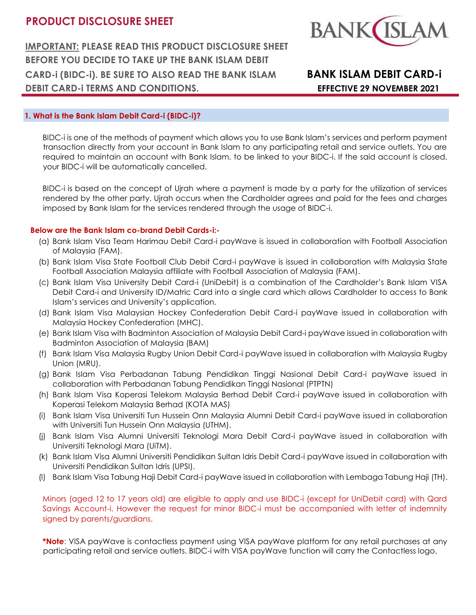**BANK** 

**IMPORTANT: PLEASE READ THIS PRODUCT DISCLOSURE SHEET BEFORE YOU DECIDE TO TAKE UP THE BANK ISLAM DEBIT CARD-i (BIDC-i). BE SURE TO ALSO READ THE BANK ISLAM BANK ISLAM DEBIT CARD-i DEBIT CARD-i TERMS AND CONDITIONS. EFFECTIVE 29 NOVEMBER 2021**

# **1. What is the Bank Islam Debit Card-i (BIDC-i)?**

BIDC-i is one of the methods of payment which allows you to use Bank Islam's services and perform payment transaction directly from your account in Bank Islam to any participating retail and service outlets. You are required to maintain an account with Bank Islam, to be linked to your BIDC-i. If the said account is closed, your BIDC-i will be automatically cancelled.

BIDC-i is based on the concept of Ujrah where a payment is made by a party for the utilization of services rendered by the other party. Ujrah occurs when the Cardholder agrees and paid for the fees and charges imposed by Bank Islam for the services rendered through the usage of BIDC-i.

# **Below are the Bank Islam co-brand Debit Cards-i:-**

- (a) Bank Islam Visa Team Harimau Debit Card-i payWave is issued in collaboration with Football Association of Malaysia (FAM).
- (b) Bank Islam Visa State Football Club Debit Card-i payWave is issued in collaboration with Malaysia State Football Association Malaysia affiliate with Football Association of Malaysia (FAM).
- (c) Bank Islam Visa University Debit Card-i (UniDebit) is a combination of the Cardholder's Bank Islam VISA Debit Card-i and University ID/Matric Card into a single card which allows Cardholder to access to Bank Islam's services and University's application.
- (d) Bank Islam Visa Malaysian Hockey Confederation Debit Card-i payWave issued in collaboration with Malaysia Hockey Confederation (MHC).
- (e) Bank Islam Visa with Badminton Association of Malaysia Debit Card-i payWave issued in collaboration with Badminton Association of Malaysia (BAM)
- (f) Bank Islam Visa Malaysia Rugby Union Debit Card-i payWave issued in collaboration with Malaysia Rugby Union (MRU).
- (g) Bank Islam Visa Perbadanan Tabung Pendidikan Tinggi Nasional Debit Card-i payWave issued in collaboration with Perbadanan Tabung Pendidikan Tinggi Nasional (PTPTN)
- (h) Bank Islam Visa Koperasi Telekom Malaysia Berhad Debit Card-i payWave issued in collaboration with Koperasi Telekom Malaysia Berhad (KOTA MAS)
- (i) Bank Islam Visa Universiti Tun Hussein Onn Malaysia Alumni Debit Card-i payWave issued in collaboration with Universiti Tun Hussein Onn Malaysia (UTHM).
- (j) Bank Islam Visa Alumni Universiti Teknologi Mara Debit Card-i payWave issued in collaboration with Universiti Teknologi Mara (UiTM).
- (k) Bank Islam Visa Alumni Universiti Pendidikan Sultan Idris Debit Card-i payWave issued in collaboration with Universiti Pendidikan Sultan Idris (UPSI).
- (l) Bank Islam Visa Tabung Haji Debit Card-i payWave issued in collaboration with Lembaga Tabung Haji (TH).

Minors (aged 12 to 17 years old) are eligible to apply and use BIDC-i (except for UniDebit card) with Qard Savings Account-i. However the request for minor BIDC-i must be accompanied with letter of indemnity signed by parents/guardians.

**\*Note**: VISA payWave is contactless payment using VISA payWave platform for any retail purchases at any participating retail and service outlets. BIDC-i with VISA payWave function will carry the Contactless logo.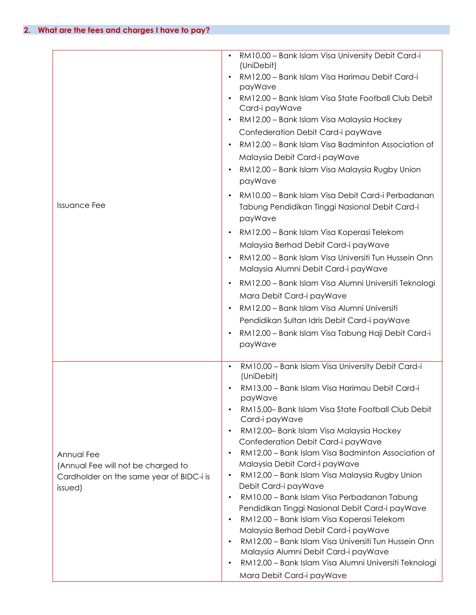| <b>Issuance Fee</b>                                                                                     | RM10.00 - Bank Islam Visa University Debit Card-i<br>(UniDebit)<br>RM12.00 - Bank Islam Visa Harimau Debit Card-i<br>payWave<br>RM12.00 - Bank Islam Visa State Football Club Debit<br>Card-i payWave<br>RM12.00 - Bank Islam Visa Malaysia Hockey<br>$\bullet$<br>Confederation Debit Card-i payWave<br>RM12.00 - Bank Islam Visa Badminton Association of<br>Malaysia Debit Card-i payWave<br>RM12.00 - Bank Islam Visa Malaysia Rugby Union<br>payWave<br>RM10.00 - Bank Islam Visa Debit Card-i Perbadanan<br>$\bullet$<br>Tabung Pendidikan Tinggi Nasional Debit Card-i<br>payWave<br>RM12.00 - Bank Islam Visa Koperasi Telekom<br>$\bullet$<br>Malaysia Berhad Debit Card-i payWave<br>RM12.00 - Bank Islam Visa Universiti Tun Hussein Onn<br>Malaysia Alumni Debit Card-i payWave<br>RM12.00 - Bank Islam Visa Alumni Universiti Teknologi<br>$\bullet$<br>Mara Debit Card-i payWave<br>RM12.00 - Bank Islam Visa Alumni Universiti<br>Pendidikan Sultan Idris Debit Card-i payWave<br>RM12.00 - Bank Islam Visa Tabung Haji Debit Card-i<br>$\bullet$<br>payWave |
|---------------------------------------------------------------------------------------------------------|-----------------------------------------------------------------------------------------------------------------------------------------------------------------------------------------------------------------------------------------------------------------------------------------------------------------------------------------------------------------------------------------------------------------------------------------------------------------------------------------------------------------------------------------------------------------------------------------------------------------------------------------------------------------------------------------------------------------------------------------------------------------------------------------------------------------------------------------------------------------------------------------------------------------------------------------------------------------------------------------------------------------------------------------------------------------------------|
| Annual Fee<br>(Annual Fee will not be charged to<br>Cardholder on the same year of BIDC-i is<br>issued) | RM10.00 - Bank Islam Visa University Debit Card-i<br>$\bullet$<br>(UniDebit)<br>RM13.00 - Bank Islam Visa Harimau Debit Card-i<br>payWave<br>RM15.00- Bank Islam Visa State Football Club Debit<br>$\bullet$<br>Card-i payWave<br>RM12.00- Bank Islam Visa Malaysia Hockey<br>$\bullet$<br>Confederation Debit Card-i payWave<br>RM12.00 - Bank Islam Visa Badminton Association of<br>$\bullet$<br>Malaysia Debit Card-i payWave<br>RM12.00 - Bank Islam Visa Malaysia Rugby Union<br>$\bullet$<br>Debit Card-i payWave<br>RM10.00 - Bank Islam Visa Perbadanan Tabung<br>$\bullet$<br>Pendidikan Tinggi Nasional Debit Card-i payWave<br>RM12.00 - Bank Islam Visa Koperasi Telekom<br>$\bullet$<br>Malaysia Berhad Debit Card-i payWave<br>RM12.00 - Bank Islam Visa Universiti Tun Hussein Onn<br>$\bullet$<br>Malaysia Alumni Debit Card-i payWave<br>RM12.00 - Bank Islam Visa Alumni Universiti Teknologi<br>$\bullet$<br>Mara Debit Card-i payWave                                                                                                                  |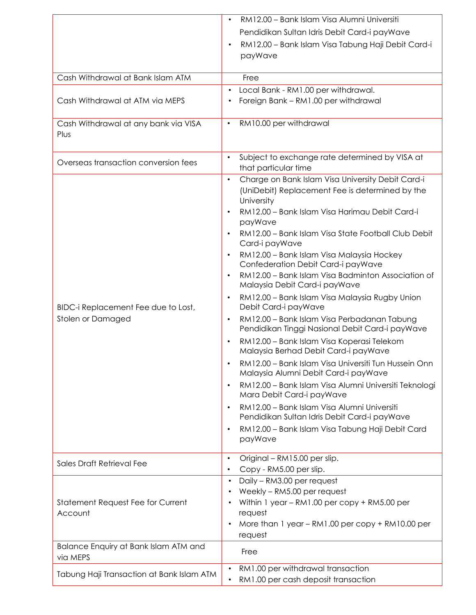|                                                          | RM12.00 - Bank Islam Visa Alumni Universiti                                                  |
|----------------------------------------------------------|----------------------------------------------------------------------------------------------|
|                                                          | Pendidikan Sultan Idris Debit Card-i payWave                                                 |
|                                                          | RM12.00 - Bank Islam Visa Tabung Haji Debit Card-i                                           |
|                                                          | payWave                                                                                      |
|                                                          |                                                                                              |
| Cash Withdrawal at Bank Islam ATM                        | Free                                                                                         |
|                                                          | Local Bank - RM1.00 per withdrawal.                                                          |
| Cash Withdrawal at ATM via MEPS                          | Foreign Bank - RM1.00 per withdrawal                                                         |
|                                                          |                                                                                              |
| Cash Withdrawal at any bank via VISA                     | RM10.00 per withdrawal<br>$\bullet$                                                          |
| Plus                                                     |                                                                                              |
|                                                          |                                                                                              |
| Overseas transaction conversion fees                     | Subject to exchange rate determined by VISA at                                               |
|                                                          | that particular time                                                                         |
|                                                          | Charge on Bank Islam Visa University Debit Card-i<br>$\bullet$                               |
|                                                          | (UniDebit) Replacement Fee is determined by the                                              |
|                                                          | University                                                                                   |
|                                                          | RM12.00 - Bank Islam Visa Harimau Debit Card-i<br>payWave                                    |
|                                                          | RM12.00 - Bank Islam Visa State Football Club Debit                                          |
|                                                          | Card-i payWave                                                                               |
|                                                          | RM12.00 - Bank Islam Visa Malaysia Hockey                                                    |
|                                                          | Confederation Debit Card-i payWave                                                           |
|                                                          | RM12.00 - Bank Islam Visa Badminton Association of                                           |
| BIDC-i Replacement Fee due to Lost,<br>Stolen or Damaged | Malaysia Debit Card-i payWave                                                                |
|                                                          | RM12.00 - Bank Islam Visa Malaysia Rugby Union                                               |
|                                                          | Debit Card-i payWave                                                                         |
|                                                          | RM12.00 - Bank Islam Visa Perbadanan Tabung<br>$\bullet$                                     |
|                                                          | Pendidikan Tinggi Nasional Debit Card-i payWave                                              |
|                                                          | RM12.00 - Bank Islam Visa Koperasi Telekom<br>Malaysia Berhad Debit Card-i payWave           |
|                                                          |                                                                                              |
|                                                          | RM12.00 - Bank Islam Visa Universiti Tun Hussein Onn<br>Malaysia Alumni Debit Card-i payWave |
|                                                          | RM12.00 - Bank Islam Visa Alumni Universiti Teknologi                                        |
|                                                          | Mara Debit Card-i payWave                                                                    |
|                                                          | RM12.00 - Bank Islam Visa Alumni Universiti                                                  |
|                                                          | Pendidikan Sultan Idris Debit Card-i payWave                                                 |
|                                                          | RM12.00 - Bank Islam Visa Tabung Haji Debit Card                                             |
|                                                          | payWave                                                                                      |
|                                                          | $\bullet$                                                                                    |
| Sales Draft Retrieval Fee                                | Original - RM15.00 per slip.<br>Copy - RM5.00 per slip.                                      |
|                                                          | Daily - RM3.00 per request                                                                   |
|                                                          | Weekly - RM5.00 per request                                                                  |
| Statement Request Fee for Current<br>Account             | Within 1 year - RM1.00 per copy + RM5.00 per                                                 |
|                                                          | request                                                                                      |
|                                                          | More than 1 year - RM1.00 per copy + RM10.00 per                                             |
|                                                          | request                                                                                      |
| Balance Enquiry at Bank Islam ATM and<br>via MEPS        | Free                                                                                         |
|                                                          | RM1.00 per withdrawal transaction                                                            |
| Tabung Haji Transaction at Bank Islam ATM                | RM1.00 per cash deposit transaction                                                          |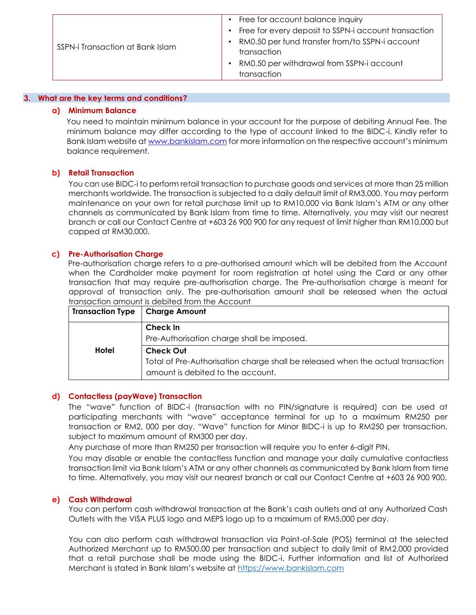| SSPN-i Transaction at Bank Islam | Free for account balance inquiry<br>Free for every deposit to SSPN-i account transaction<br>RM0.50 per fund transfer from/to SSPN-i account<br>transaction<br>RM0.50 per withdrawal from SSPN-i account |
|----------------------------------|---------------------------------------------------------------------------------------------------------------------------------------------------------------------------------------------------------|
|                                  | transaction                                                                                                                                                                                             |

#### **3. What are the key terms and conditions?**

#### **a) Minimum Balance**

You need to maintain minimum balance in your account for the purpose of debiting Annual Fee. The minimum balance may differ according to the type of account linked to the BIDC-i. Kindly refer to Bank Islam website at www.bankislam.com [f](http://www.bankislam.com.my/)or more information on the respective account's minimum balance requirement.

# **b) Retail Transaction**

You can use BIDC-i to perform retail transaction to purchase goods and services at more than 25 million merchants worldwide. The transaction is subjected to a daily default limit of RM3,000. You may perform maintenance on your own for retail purchase limit up to RM10,000 via Bank Islam's ATM or any other channels as communicated by Bank Islam from time to time. Alternatively, you may visit our nearest branch or call our Contact Centre at +603 26 900 900 for any request of limit higher than RM10,000 but capped at RM30,000.

#### **c) Pre-Authorisation Charge**

Pre-authorisation charge refers to a pre-authorised amount which will be debited from the Account when the Cardholder make payment for room registration at hotel using the Card or any other transaction that may require pre-authorisation charge. The Pre-authorisation charge is meant for approval of transaction only. The pre-authorisation amount shall be released when the actual transaction amount is debited from the Account

| <b>Transaction Type</b> | <b>Charge Amount</b>                                                            |
|-------------------------|---------------------------------------------------------------------------------|
|                         | Check In                                                                        |
|                         | Pre-Authorisation charge shall be imposed.                                      |
| Hotel                   | <b>Check Out</b>                                                                |
|                         | Total of Pre-Authorisation charge shall be released when the actual transaction |
|                         | amount is debited to the account.                                               |

# **d) Contactless (payWave) Transaction**

The "wave" function of BIDC-i (transaction with no PIN/signature is required) can be used at participating merchants with "wave" acceptance terminal for up to a maximum RM250 per transaction or RM2, 000 per day. "Wave" function for Minor BIDC-i is up to RM250 per transaction, subject to maximum amount of RM300 per day.

Any purchase of more than RM250 per transaction will require you to enter 6-digit PIN.

You may disable or enable the contactless function and manage your daily cumulative contactless transaction limit via Bank Islam's ATM or any other channels as communicated by Bank Islam from time to time. Alternatively, you may visit our nearest branch or call our Contact Centre at +603 26 900 900.

# **e) Cash Withdrawal**

You can perform cash withdrawal transaction at the Bank's cash outlets and at any Authorized Cash Outlets with the VISA PLUS logo and MEPS logo up to a maximum of RM5,000 per day.

You can also perform cash withdrawal transaction via Point-of-Sale (POS) terminal at the selected Authorized Merchant up to RM500.00 per transaction and subject to daily limit of RM2,000 provided that a retail purchase shall be made using the BIDC-i. Further information and list of Authorized Merchant is stated in Bank Islam's website at [https://www.bankislam.com](https://www.bankislam.com/)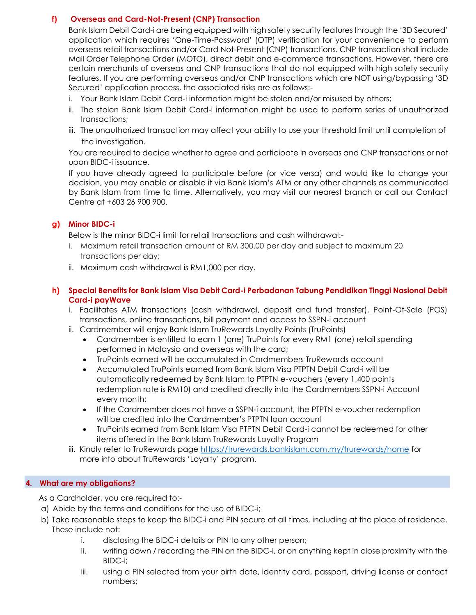# **f) Overseas and Card-Not-Present (CNP) Transaction**

Bank Islam Debit Card-i are being equipped with high safety security features through the '3D Secured' application which requires 'One-Time-Password' (OTP) verification for your convenience to perform overseas retail transactions and/or Card Not-Present (CNP) transactions. CNP transaction shall include Mail Order Telephone Order (MOTO), direct debit and e-commerce transactions. However, there are certain merchants of overseas and CNP transactions that do not equipped with high safety security features. If you are performing overseas and/or CNP transactions which are NOT using/bypassing '3D Secured' application process, the associated risks are as follows:-

- i. Your Bank Islam Debit Card-i information might be stolen and/or misused by others;
- ii. The stolen Bank Islam Debit Card-i information might be used to perform series of unauthorized transactions;
- iii. The unauthorized transaction may affect your ability to use your threshold limit until completion of the investigation.

You are required to decide whether to agree and participate in overseas and CNP transactions or not upon BIDC-i issuance.

If you have already agreed to participate before (or vice versa) and would like to change your decision, you may enable or disable it via Bank Islam's ATM or any other channels as communicated by Bank Islam from time to time. Alternatively, you may visit our nearest branch or call our Contact Centre at +603 26 900 900.

# **g) Minor BIDC-i**

Below is the minor BIDC-i limit for retail transactions and cash withdrawal:-

- i. Maximum retail transaction amount of RM 300.00 per day and subject to maximum 20 transactions per day;
- ii. Maximum cash withdrawal is RM1,000 per day.

# **h) Special Benefits for Bank Islam Visa Debit Card-i Perbadanan Tabung Pendidikan Tinggi Nasional Debit Card-i payWave**

- i. Facilitates ATM transactions (cash withdrawal, deposit and fund transfer), Point-Of-Sale (POS) transactions, online transactions, bill payment and access to SSPN-i account
- ii. Cardmember will enjoy Bank Islam TruRewards Loyalty Points (TruPoints)
	- Cardmember is entitled to earn 1 (one) TruPoints for every RM1 (one) retail spending performed in Malaysia and overseas with the card;
	- TruPoints earned will be accumulated in Cardmembers TruRewards account
	- Accumulated TruPoints earned from Bank Islam Visa PTPTN Debit Card-i will be automatically redeemed by Bank Islam to PTPTN e-vouchers (every 1,400 points redemption rate is RM10) and credited directly into the Cardmembers SSPN-i Account every month;
	- If the Cardmember does not have a SSPN-i account, the PTPTN e-voucher redemption will be credited into the Cardmember's PTPTN loan account
	- TruPoints earned from Bank Islam Visa PTPTN Debit Card-i cannot be redeemed for other items offered in the Bank Islam TruRewards Loyalty Program
- iii. Kindly refer to TruRewards page <https://trurewards.bankislam.com.my/trurewards/home> for more info about TruRewards 'Loyalty' program.

# **4. What are my obligations?**

As a Cardholder, you are required to:-

- a) Abide by the terms and conditions for the use of BIDC-i;
- b) Take reasonable steps to keep the BIDC-i and PIN secure at all times, including at the place of residence. These include not:
	- i. disclosing the BIDC-i details or PIN to any other person;
	- ii. writing down / recording the PIN on the BIDC-i, or on anything kept in close proximity with the BIDC-i;
	- iii. using a PIN selected from your birth date, identity card, passport, driving license or contact numbers;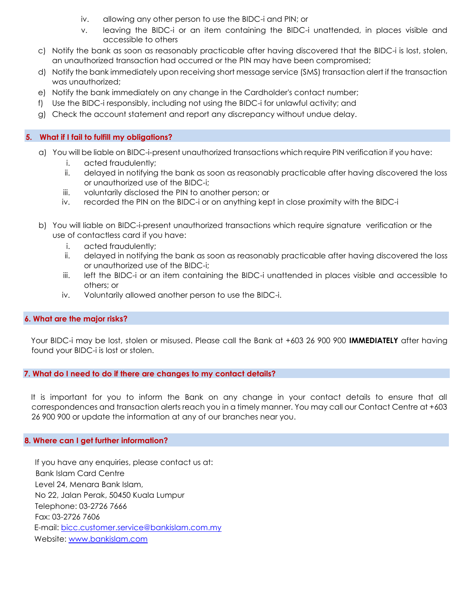- iv. allowing any other person to use the BIDC-i and PIN; or
- v. leaving the BIDC-i or an item containing the BIDC-i unattended, in places visible and accessible to others
- c) Notify the bank as soon as reasonably practicable after having discovered that the BIDC-i is lost, stolen, an unauthorized transaction had occurred or the PIN may have been compromised;
- d) Notify the bank immediately upon receiving short message service (SMS) transaction alert if the transaction was unauthorized;
- e) Notify the bank immediately on any change in the Cardholder's contact number;
- f) Use the BIDC-i responsibly, including not using the BIDC-i for unlawful activity; and
- g) Check the account statement and report any discrepancy without undue delay.

# **5. What if I fail to fulfill my obligations?**

- a) You will be liable on BIDC-i-present unauthorized transactions which require PIN verification if you have:
	- i. acted fraudulently;
	- ii. delayed in notifying the bank as soon as reasonably practicable after having discovered the loss or unauthorized use of the BIDC-i;
	- iii. voluntarily disclosed the PIN to another person; or
	- iv. recorded the PIN on the BIDC-i or on anything kept in close proximity with the BIDC-i
- b) You will liable on BIDC-i-present unauthorized transactions which require signature verification or the use of contactless card if you have:
	- i. acted fraudulently;
	- ii. delayed in notifying the bank as soon as reasonably practicable after having discovered the loss or unauthorized use of the BIDC-i;
	- iii. left the BIDC-i or an item containing the BIDC-i unattended in places visible and accessible to others; or
	- iv. Voluntarily allowed another person to use the BIDC-i.

# **6. What are the major risks?**

Your BIDC-i may be lost, stolen or misused. Please call the Bank at +603 26 900 900 **IMMEDIATELY** after having found your BIDC-i is lost or stolen.

# **7. What do I need to do if there are changes to my contact details?**

It is important for you to inform the Bank on any change in your contact details to ensure that all correspondences and transaction alerts reach you in a timely manner. You may call our Contact Centre at +603 26 900 900 or update the information at any of our branches near you.

# **8. Where can I get further information?**

If you have any enquiries, please contact us at: Bank Islam Card Centre Level 24, Menara Bank Islam, No 22, Jalan Perak, 50450 Kuala Lumpur Telephone: 03-2726 7666 Fax: 03-2726 7606 E-mail: bicc.customer.service@bankislam.com.my Website: www.bankislam.com